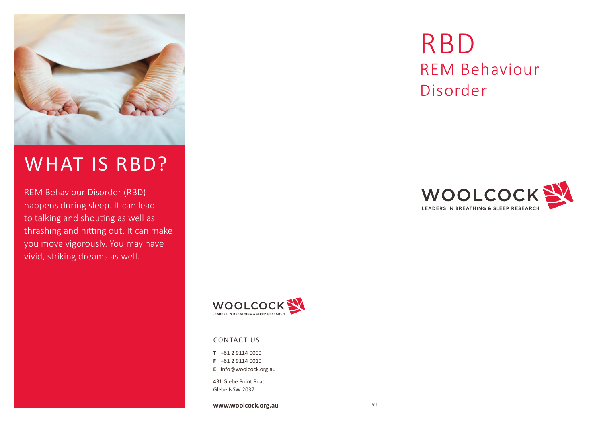

## WHAT IS RBD?

REM Behaviour Disorder (RBD) happens during sleep. It can lead to talking and shouting as well as thrashing and hitting out. It can make you move vigorously. You may have vivid, striking dreams as well.



## CONTACT US

**T** +61 2 9114 0000

- **F** +61 2 9114 0010
- **E** info@woolcock.org.au

431 Glebe Point Road Glebe NSW 2037

**www.woolcock.org.au**

# RBD REM Behaviour Disorder